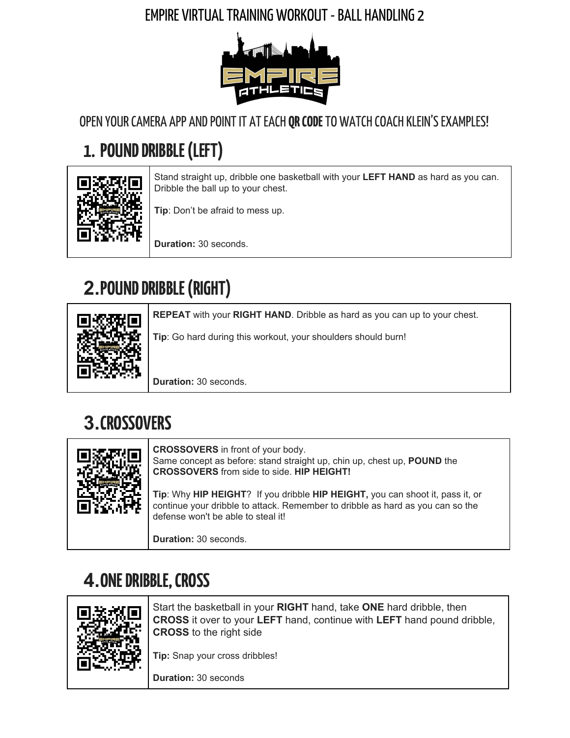#### EMPIRE VIRTUALTRAININGWORKOUT-BALL HANDLING 2



OPEN YOUR CAMERA APP AND POINT IT AT EACH **QR CODE** TO WATCH COACH KLEIN'S EXAMPLES!

# **1. POUND DRIBBLE (LEFT)**



Stand straight up, dribble one basketball with your **LEFT HAND** as hard as you can. Dribble the ball up to your chest.

**Tip**: Don't be afraid to mess up.

**Duration:** 30 seconds.

# **2. POUND DRIBBLE (RIGHT)**



**REPEAT** with your **RIGHT HAND**. Dribble as hard as you can up to your chest.

**Tip**: Go hard during this workout, your shoulders should burn!

**Duration:** 30 seconds.

## **3.CROSSOVERS**

| ानिः । | <b>CROSSOVERS</b> in front of your body.<br>Same concept as before: stand straight up, chin up, chest up, <b>POUND</b> the<br><b>CROSSOVERS</b> from side to side. HIP HEIGHT!                        |
|--------|-------------------------------------------------------------------------------------------------------------------------------------------------------------------------------------------------------|
|        | Tip: Why HIP HEIGHT? If you dribble HIP HEIGHT, you can shoot it, pass it, or<br>continue your dribble to attack. Remember to dribble as hard as you can so the<br>defense won't be able to steal it! |
|        | <b>Duration: 30 seconds.</b>                                                                                                                                                                          |

## **4.ONEDRIBBLE,CROSS**



Start the basketball in your **RIGHT** hand, take **ONE** hard dribble, then **CROSS** it over to your **LEFT** hand, continue with **LEFT** hand pound dribble, **CROSS** to the right side

**Tip:** Snap your cross dribbles!

**Duration:** 30 seconds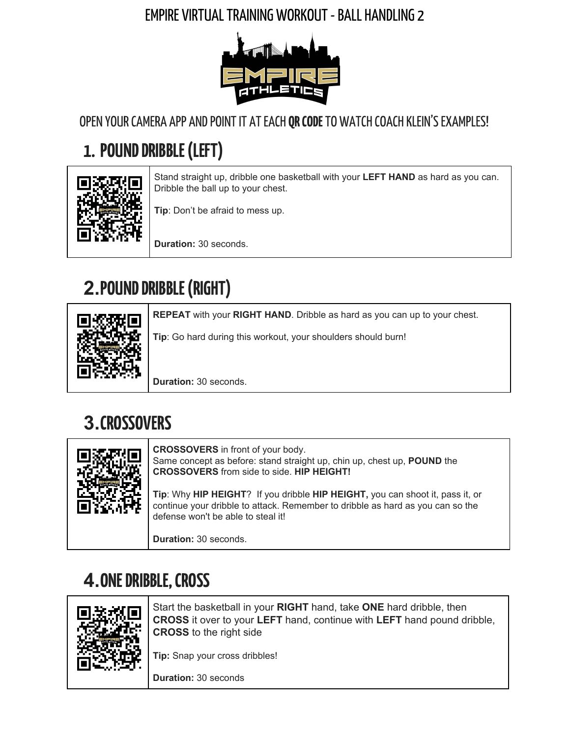## **5. RIGHT LEG FORWARD, BETWEEN**



Extend your **RIGHT** leg out. Dribble the ball **BETWEEN** your legs.

**Tip:** Work on staying low!

**Duration:** 30 seconds

## **6.LEFTLEGFORWARD,BETWEEN**



Extend your **LEFT** leg out. Dribble the ball **BETWEEN** your legs. Try to bounce the ball in the center and keep your hands on the outside of the ball.

**Tip:** Try to beat the amount of reps you got with your right leg forward!

**Duration:** 30 seconds

# **7.FIGURE 8**



### **8.AROUNDTHEWORLD**



Dribble the basketball through one leg to the other leg. Go behind one leg on one side and wrap the ball around slowly to the other side.

**Tip:** Stay low and use your fingertips!

**Duration:**30 seconds